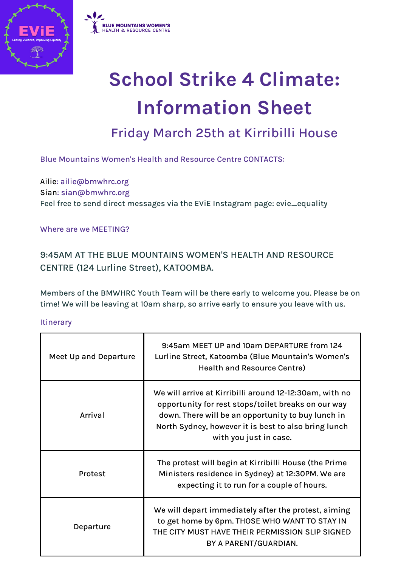



# **School Strike 4 Climate: Information Sheet**

Friday March 25th at Kirribilli House

Blue Mountains Women's Health and Resource Centre CONTACTS:

Ailie: ailie@bmwhrc.org Sian: sian@bmwhrc.org Feel free to send direct messages via the EViE Instagram page: evie\_equality

Where are we MEETING?

9:45AM AT THE BLUE MOUNTAINS WOMEN'S HEALTH AND RESOURCE CENTRE (124 Lurline Street), KATOOMBA.

Members of the BMWHRC Youth Team will be there early to welcome you. Please be on time! We will be leaving at 10am sharp, so arrive early to ensure you leave with us.

**Itinerary** 

| <b>Meet Up and Departure</b> | 9:45am MEET UP and 10am DEPARTURE from 124<br>Lurline Street, Katoomba (Blue Mountain's Women's<br><b>Health and Resource Centre)</b>                                                                                                                  |
|------------------------------|--------------------------------------------------------------------------------------------------------------------------------------------------------------------------------------------------------------------------------------------------------|
| Arrival                      | We will arrive at Kirribilli around 12-12:30am, with no<br>opportunity for rest stops/toilet breaks on our way<br>down. There will be an opportunity to buy lunch in<br>North Sydney, however it is best to also bring lunch<br>with you just in case. |
| Protest                      | The protest will begin at Kirribilli House (the Prime<br>Ministers residence in Sydney) at 12:30PM. We are<br>expecting it to run for a couple of hours.                                                                                               |
| Departure                    | We will depart immediately after the protest, aiming<br>to get home by 6pm. THOSE WHO WANT TO STAY IN<br>THE CITY MUST HAVE THEIR PERMISSION SLIP SIGNED<br>BY A PARENT/GUARDIAN.                                                                      |